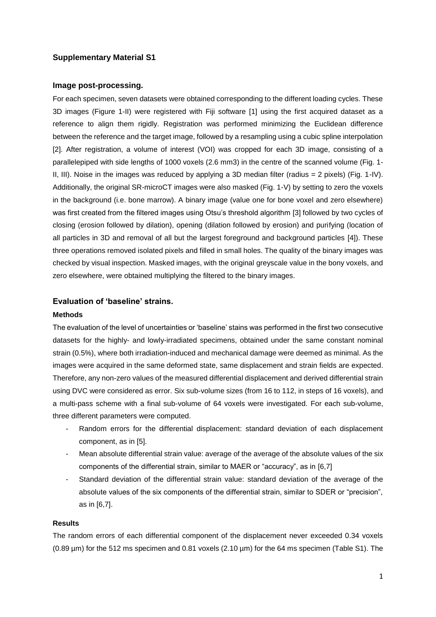# **Supplementary Material S1**

## **Image post-processing.**

For each specimen, seven datasets were obtained corresponding to the different loading cycles. These 3D images (Figure 1-II) were registered with Fiji software [1] using the first acquired dataset as a reference to align them rigidly. Registration was performed minimizing the Euclidean difference between the reference and the target image, followed by a resampling using a cubic spline interpolation [2]. After registration, a volume of interest (VOI) was cropped for each 3D image, consisting of a parallelepiped with side lengths of 1000 voxels (2.6 mm3) in the centre of the scanned volume (Fig. 1- II, III). Noise in the images was reduced by applying a 3D median filter (radius = 2 pixels) (Fig. 1-IV). Additionally, the original SR-microCT images were also masked (Fig. 1-V) by setting to zero the voxels in the background (i.e. bone marrow). A binary image (value one for bone voxel and zero elsewhere) was first created from the filtered images using Otsu's threshold algorithm [3] followed by two cycles of closing (erosion followed by dilation), opening (dilation followed by erosion) and purifying (location of all particles in 3D and removal of all but the largest foreground and background particles [4]). These three operations removed isolated pixels and filled in small holes. The quality of the binary images was checked by visual inspection. Masked images, with the original greyscale value in the bony voxels, and zero elsewhere, were obtained multiplying the filtered to the binary images.

# **Evaluation of 'baseline' strains.**

#### **Methods**

The evaluation of the level of uncertainties or 'baseline' stains was performed in the first two consecutive datasets for the highly- and lowly-irradiated specimens, obtained under the same constant nominal strain (0.5%), where both irradiation-induced and mechanical damage were deemed as minimal. As the images were acquired in the same deformed state, same displacement and strain fields are expected. Therefore, any non-zero values of the measured differential displacement and derived differential strain using DVC were considered as error. Six sub-volume sizes (from 16 to 112, in steps of 16 voxels), and a multi-pass scheme with a final sub-volume of 64 voxels were investigated. For each sub-volume, three different parameters were computed.

- Random errors for the differential displacement: standard deviation of each displacement component, as in [5].
- Mean absolute differential strain value: average of the average of the absolute values of the six components of the differential strain, similar to MAER or "accuracy", as in [6,7]
- Standard deviation of the differential strain value: standard deviation of the average of the absolute values of the six components of the differential strain, similar to SDER or "precision", as in [6,7].

### **Results**

The random errors of each differential component of the displacement never exceeded 0.34 voxels (0.89 µm) for the 512 ms specimen and 0.81 voxels (2.10 µm) for the 64 ms specimen (Table S1). The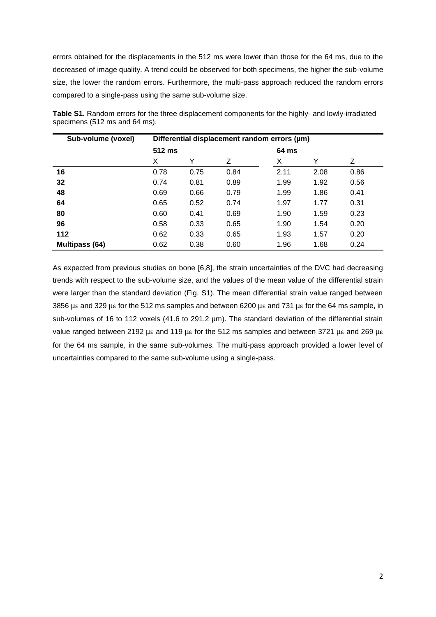errors obtained for the displacements in the 512 ms were lower than those for the 64 ms, due to the decreased of image quality. A trend could be observed for both specimens, the higher the sub-volume size, the lower the random errors. Furthermore, the multi-pass approach reduced the random errors compared to a single-pass using the same sub-volume size.

| Sub-volume (voxel)    | Differential displacement random errors (µm) |      |      |       |      |      |
|-----------------------|----------------------------------------------|------|------|-------|------|------|
|                       | 512 ms                                       |      |      | 64 ms |      |      |
|                       | X                                            | Y    | Ζ    | X     | Y    | Ζ    |
| 16                    | 0.78                                         | 0.75 | 0.84 | 2.11  | 2.08 | 0.86 |
| 32                    | 0.74                                         | 0.81 | 0.89 | 1.99  | 1.92 | 0.56 |
| 48                    | 0.69                                         | 0.66 | 0.79 | 1.99  | 1.86 | 0.41 |
| 64                    | 0.65                                         | 0.52 | 0.74 | 1.97  | 1.77 | 0.31 |
| 80                    | 0.60                                         | 0.41 | 0.69 | 1.90  | 1.59 | 0.23 |
| 96                    | 0.58                                         | 0.33 | 0.65 | 1.90  | 1.54 | 0.20 |
| 112                   | 0.62                                         | 0.33 | 0.65 | 1.93  | 1.57 | 0.20 |
| <b>Multipass (64)</b> | 0.62                                         | 0.38 | 0.60 | 1.96  | 1.68 | 0.24 |

**Table S1.** Random errors for the three displacement components for the highly- and lowly-irradiated specimens (512 ms and 64 ms).

As expected from previous studies on bone [6,8], the strain uncertainties of the DVC had decreasing trends with respect to the sub-volume size, and the values of the mean value of the differential strain were larger than the standard deviation (Fig. S1). The mean differential strain value ranged between 3856 µε and 329 µε for the 512 ms samples and between 6200 µε and 731 µε for the 64 ms sample, in sub-volumes of 16 to 112 voxels (41.6 to 291.2 µm). The standard deviation of the differential strain value ranged between 2192 µε and 119 µε for the 512 ms samples and between 3721 µε and 269 µε for the 64 ms sample, in the same sub-volumes. The multi-pass approach provided a lower level of uncertainties compared to the same sub-volume using a single-pass.